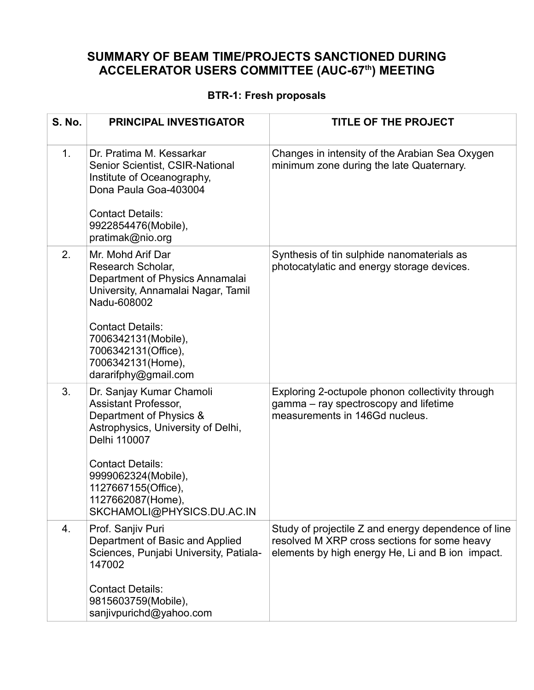#### **SUMMARY OF BEAM TIME/PROJECTS SANCTIONED DURING ACCELERATOR USERS COMMITTEE (AUC-67th) MEETING**

#### **BTR-1: Fresh proposals**

| <b>S. No.</b>  | <b>PRINCIPAL INVESTIGATOR</b>                                                                                                                                                                                                                                        | <b>TITLE OF THE PROJECT</b>                                                                                                                             |
|----------------|----------------------------------------------------------------------------------------------------------------------------------------------------------------------------------------------------------------------------------------------------------------------|---------------------------------------------------------------------------------------------------------------------------------------------------------|
| 1 <sub>1</sub> | Dr. Pratima M. Kessarkar<br><b>Senior Scientist, CSIR-National</b><br>Institute of Oceanography,<br>Dona Paula Goa-403004<br><b>Contact Details:</b><br>9922854476(Mobile),<br>pratimak@nio.org                                                                      | Changes in intensity of the Arabian Sea Oxygen<br>minimum zone during the late Quaternary.                                                              |
| 2.             | Mr. Mohd Arif Dar<br>Research Scholar,<br>Department of Physics Annamalai<br>University, Annamalai Nagar, Tamil<br>Nadu-608002<br><b>Contact Details:</b><br>7006342131(Mobile),<br>7006342131(Office),<br>7006342131(Home),<br>dararifphy@gmail.com                 | Synthesis of tin sulphide nanomaterials as<br>photocatylatic and energy storage devices.                                                                |
| 3.             | Dr. Sanjay Kumar Chamoli<br><b>Assistant Professor,</b><br>Department of Physics &<br>Astrophysics, University of Delhi,<br>Delhi 110007<br><b>Contact Details:</b><br>9999062324(Mobile),<br>1127667155(Office),<br>1127662087(Home),<br>SKCHAMOLI@PHYSICS.DU.AC.IN | Exploring 2-octupole phonon collectivity through<br>gamma – ray spectroscopy and lifetime<br>measurements in 146Gd nucleus.                             |
| 4.             | Prof. Sanjiv Puri<br>Department of Basic and Applied<br>Sciences, Punjabi University, Patiala-<br>147002<br><b>Contact Details:</b><br>9815603759(Mobile),<br>sanjivpurichd@yahoo.com                                                                                | Study of projectile Z and energy dependence of line<br>resolved M XRP cross sections for some heavy<br>elements by high energy He, Li and B ion impact. |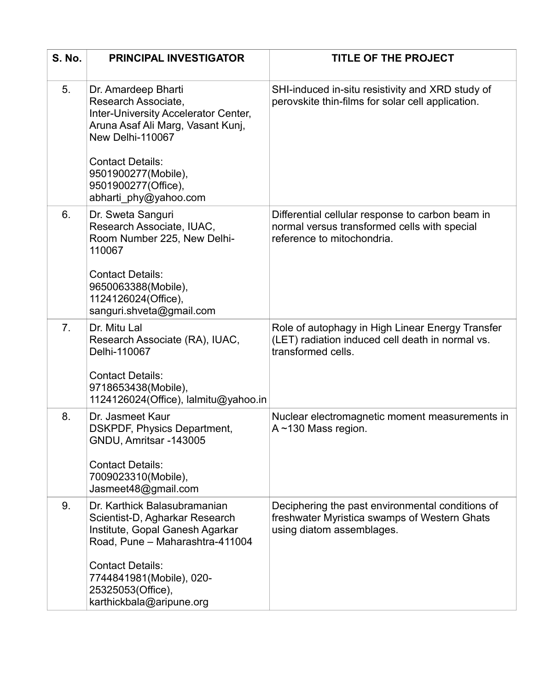| <b>S. No.</b> | <b>PRINCIPAL INVESTIGATOR</b>                                                                                                               | <b>TITLE OF THE PROJECT</b>                                                                                                    |
|---------------|---------------------------------------------------------------------------------------------------------------------------------------------|--------------------------------------------------------------------------------------------------------------------------------|
| 5.            | Dr. Amardeep Bharti<br>Research Associate,<br>Inter-University Accelerator Center,<br>Aruna Asaf Ali Marg, Vasant Kunj,<br>New Delhi-110067 | SHI-induced in-situ resistivity and XRD study of<br>perovskite thin-films for solar cell application.                          |
|               | <b>Contact Details:</b><br>9501900277(Mobile),<br>9501900277(Office),<br>abharti phy@yahoo.com                                              |                                                                                                                                |
| 6.            | Dr. Sweta Sanguri<br>Research Associate, IUAC,<br>Room Number 225, New Delhi-<br>110067                                                     | Differential cellular response to carbon beam in<br>normal versus transformed cells with special<br>reference to mitochondria. |
|               | <b>Contact Details:</b><br>9650063388(Mobile),<br>1124126024(Office),<br>sanguri.shveta@gmail.com                                           |                                                                                                                                |
| 7.            | Dr. Mitu Lal<br>Research Associate (RA), IUAC,<br>Delhi-110067                                                                              | Role of autophagy in High Linear Energy Transfer<br>(LET) radiation induced cell death in normal vs.<br>transformed cells.     |
|               | <b>Contact Details:</b><br>9718653438(Mobile),<br>1124126024(Office), lalmitu@yahoo.in                                                      |                                                                                                                                |
| 8.            | Dr. Jasmeet Kaur<br><b>DSKPDF, Physics Department,</b><br>GNDU, Amritsar -143005                                                            | Nuclear electromagnetic moment measurements in<br>$A \sim 130$ Mass region.                                                    |
|               | <b>Contact Details:</b><br>7009023310(Mobile),<br>Jasmeet48@gmail.com                                                                       |                                                                                                                                |
| 9.            | Dr. Karthick Balasubramanian<br>Scientist-D, Agharkar Research<br>Institute, Gopal Ganesh Agarkar<br>Road, Pune - Maharashtra-411004        | Deciphering the past environmental conditions of<br>freshwater Myristica swamps of Western Ghats<br>using diatom assemblages.  |
|               | <b>Contact Details:</b><br>7744841981(Mobile), 020-<br>25325053(Office),<br>karthickbala@aripune.org                                        |                                                                                                                                |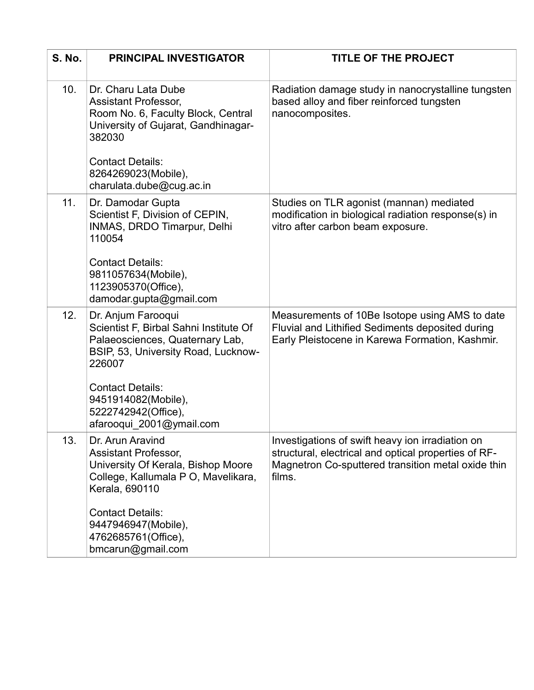| <b>S. No.</b> | <b>PRINCIPAL INVESTIGATOR</b>                                                                                                                                                                                                                         | <b>TITLE OF THE PROJECT</b>                                                                                                                                              |
|---------------|-------------------------------------------------------------------------------------------------------------------------------------------------------------------------------------------------------------------------------------------------------|--------------------------------------------------------------------------------------------------------------------------------------------------------------------------|
| 10.           | Dr. Charu Lata Dube<br>Assistant Professor,<br>Room No. 6, Faculty Block, Central<br>University of Gujarat, Gandhinagar-<br>382030<br><b>Contact Details:</b><br>8264269023(Mobile),<br>charulata.dube@cug.ac.in                                      | Radiation damage study in nanocrystalline tungsten<br>based alloy and fiber reinforced tungsten<br>nanocomposites.                                                       |
| 11.           | Dr. Damodar Gupta<br>Scientist F, Division of CEPIN,<br>INMAS, DRDO Timarpur, Delhi<br>110054<br><b>Contact Details:</b><br>9811057634(Mobile),<br>1123905370(Office),<br>damodar.gupta@gmail.com                                                     | Studies on TLR agonist (mannan) mediated<br>modification in biological radiation response(s) in<br>vitro after carbon beam exposure.                                     |
| 12.           | Dr. Anjum Farooqui<br>Scientist F, Birbal Sahni Institute Of<br>Palaeosciences, Quaternary Lab,<br>BSIP, 53, University Road, Lucknow-<br>226007<br><b>Contact Details:</b><br>9451914082(Mobile),<br>5222742942(Office),<br>afarooqui_2001@ymail.com | Measurements of 10Be Isotope using AMS to date<br>Fluvial and Lithified Sediments deposited during<br>Early Pleistocene in Karewa Formation, Kashmir.                    |
| 13.           | Dr. Arun Aravind<br><b>Assistant Professor,</b><br>University Of Kerala, Bishop Moore<br>College, Kallumala P O, Mavelikara,<br>Kerala, 690110<br><b>Contact Details:</b><br>9447946947(Mobile),<br>4762685761(Office),<br>bmcarun@gmail.com          | Investigations of swift heavy ion irradiation on<br>structural, electrical and optical properties of RF-<br>Magnetron Co-sputtered transition metal oxide thin<br>films. |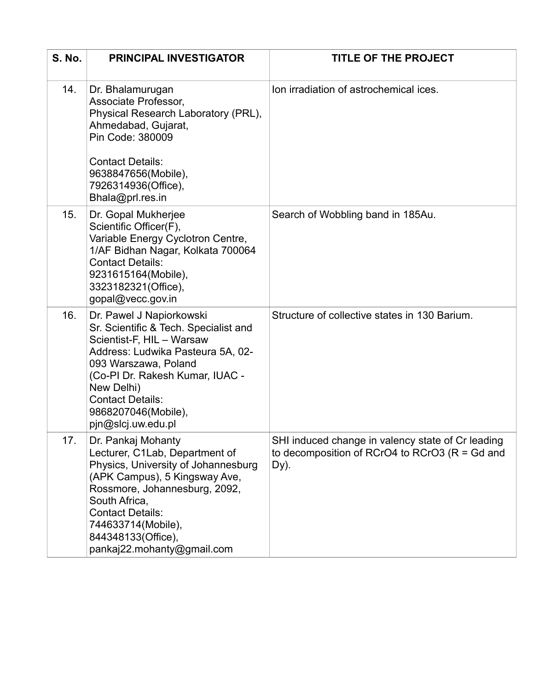| <b>S. No.</b> | <b>PRINCIPAL INVESTIGATOR</b>                                                                                                                                                                                                                                                        | <b>TITLE OF THE PROJECT</b>                                                                                    |
|---------------|--------------------------------------------------------------------------------------------------------------------------------------------------------------------------------------------------------------------------------------------------------------------------------------|----------------------------------------------------------------------------------------------------------------|
| 14.           | Dr. Bhalamurugan<br>Associate Professor,<br>Physical Research Laboratory (PRL),<br>Ahmedabad, Gujarat,<br>Pin Code: 380009<br><b>Contact Details:</b><br>9638847656(Mobile),<br>7926314936(Office),<br>Bhala@prl.res.in                                                              | Ion irradiation of astrochemical ices.                                                                         |
| 15.           | Dr. Gopal Mukherjee<br>Scientific Officer(F),<br>Variable Energy Cyclotron Centre,<br>1/AF Bidhan Nagar, Kolkata 700064<br><b>Contact Details:</b><br>9231615164(Mobile),<br>3323182321(Office),<br>gopal@vecc.gov.in                                                                | Search of Wobbling band in 185Au.                                                                              |
| 16.           | Dr. Pawel J Napiorkowski<br>Sr. Scientific & Tech. Specialist and<br>Scientist-F, HIL - Warsaw<br>Address: Ludwika Pasteura 5A, 02-<br>093 Warszawa, Poland<br>(Co-PI Dr. Rakesh Kumar, IUAC -<br>New Delhi)<br><b>Contact Details:</b><br>9868207046(Mobile),<br>pjn@slcj.uw.edu.pl | Structure of collective states in 130 Barium.                                                                  |
| 17.           | Dr. Pankaj Mohanty<br>Lecturer, C1Lab, Department of<br>Physics, University of Johannesburg<br>(APK Campus), 5 Kingsway Ave,<br>Rossmore, Johannesburg, 2092,<br>South Africa,<br><b>Contact Details:</b><br>744633714(Mobile),<br>844348133(Office),<br>pankaj22.mohanty@gmail.com  | SHI induced change in valency state of Cr leading<br>to decomposition of RCrO4 to RCrO3 ( $R = Gd$ and<br>Dy). |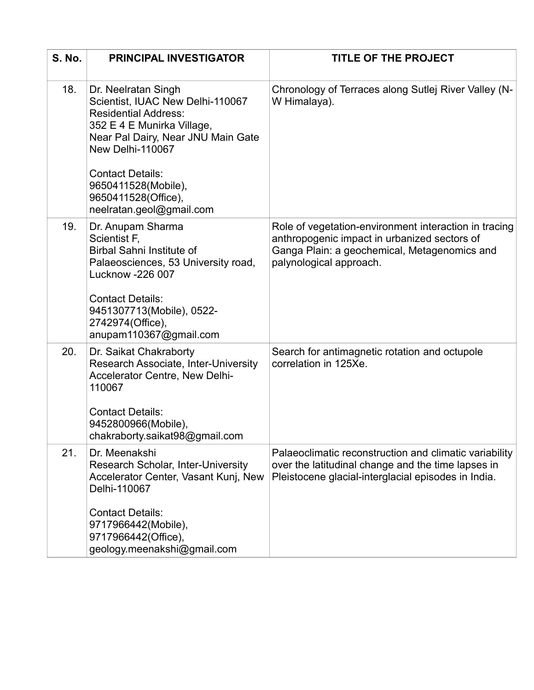| <b>S. No.</b> | <b>PRINCIPAL INVESTIGATOR</b>                                                                                                                                                                                                    | <b>TITLE OF THE PROJECT</b>                                                                                                                                                      |
|---------------|----------------------------------------------------------------------------------------------------------------------------------------------------------------------------------------------------------------------------------|----------------------------------------------------------------------------------------------------------------------------------------------------------------------------------|
| 18.           | Dr. Neelratan Singh<br>Scientist, IUAC New Delhi-110067<br><b>Residential Address:</b><br>352 E 4 E Munirka Village,<br>Near Pal Dairy, Near JNU Main Gate<br>New Delhi-110067<br><b>Contact Details:</b><br>9650411528(Mobile), | Chronology of Terraces along Sutlej River Valley (N-<br>W Himalaya).                                                                                                             |
|               | 9650411528(Office),<br>neelratan.geol@gmail.com                                                                                                                                                                                  |                                                                                                                                                                                  |
| 19.           | Dr. Anupam Sharma<br>Scientist F,<br><b>Birbal Sahni Institute of</b><br>Palaeosciences, 53 University road,<br><b>Lucknow -226 007</b>                                                                                          | Role of vegetation-environment interaction in tracing<br>anthropogenic impact in urbanized sectors of<br>Ganga Plain: a geochemical, Metagenomics and<br>palynological approach. |
|               | <b>Contact Details:</b><br>9451307713(Mobile), 0522-<br>2742974(Office),<br>anupam110367@gmail.com                                                                                                                               |                                                                                                                                                                                  |
| 20.           | Dr. Saikat Chakraborty<br>Research Associate, Inter-University<br><b>Accelerator Centre, New Delhi-</b><br>110067<br><b>Contact Details:</b>                                                                                     | Search for antimagnetic rotation and octupole<br>correlation in 125Xe.                                                                                                           |
|               | 9452800966(Mobile),<br>chakraborty.saikat98@gmail.com                                                                                                                                                                            |                                                                                                                                                                                  |
| 21.           | Dr. Meenakshi<br><b>Research Scholar, Inter-University</b><br>Accelerator Center, Vasant Kunj, New<br>Delhi-110067                                                                                                               | Palaeoclimatic reconstruction and climatic variability<br>over the latitudinal change and the time lapses in<br>Pleistocene glacial-interglacial episodes in India.              |
|               | <b>Contact Details:</b><br>9717966442(Mobile),<br>9717966442(Office),                                                                                                                                                            |                                                                                                                                                                                  |
|               | geology.meenakshi@gmail.com                                                                                                                                                                                                      |                                                                                                                                                                                  |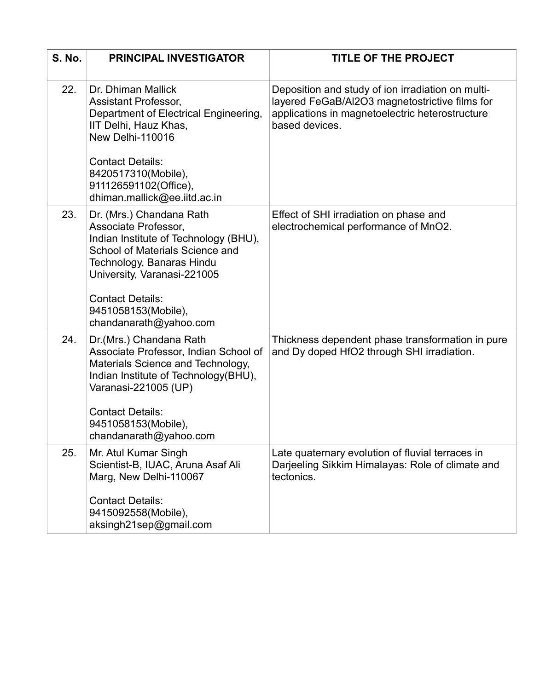| <b>S. No.</b> | <b>PRINCIPAL INVESTIGATOR</b>                                                                                                                                                                                                                                        | <b>TITLE OF THE PROJECT</b>                                                                                                                                              |
|---------------|----------------------------------------------------------------------------------------------------------------------------------------------------------------------------------------------------------------------------------------------------------------------|--------------------------------------------------------------------------------------------------------------------------------------------------------------------------|
| 22.           | Dr. Dhiman Mallick<br><b>Assistant Professor,</b><br>Department of Electrical Engineering,<br>IIT Delhi, Hauz Khas,<br>New Delhi-110016<br><b>Contact Details:</b><br>8420517310(Mobile),<br>911126591102(Office),<br>dhiman.mallick@ee.iitd.ac.in                   | Deposition and study of ion irradiation on multi-<br>layered FeGaB/Al2O3 magnetostrictive films for<br>applications in magnetoelectric heterostructure<br>based devices. |
| 23.           | Dr. (Mrs.) Chandana Rath<br>Associate Professor,<br>Indian Institute of Technology (BHU),<br>School of Materials Science and<br>Technology, Banaras Hindu<br>University, Varanasi-221005<br><b>Contact Details:</b><br>9451058153(Mobile),<br>chandanarath@yahoo.com | Effect of SHI irradiation on phase and<br>electrochemical performance of MnO2.                                                                                           |
| 24.           | Dr. (Mrs.) Chandana Rath<br>Associate Professor, Indian School of<br>Materials Science and Technology,<br>Indian Institute of Technology(BHU),<br>Varanasi-221005 (UP)<br><b>Contact Details:</b><br>9451058153(Mobile),<br>chandanarath@yahoo.com                   | Thickness dependent phase transformation in pure<br>and Dy doped HfO2 through SHI irradiation.                                                                           |
| 25.           | Mr. Atul Kumar Singh<br>Scientist-B, IUAC, Aruna Asaf Ali<br>Marg, New Delhi-110067<br><b>Contact Details:</b><br>9415092558(Mobile),<br>aksingh21sep@gmail.com                                                                                                      | Late quaternary evolution of fluvial terraces in<br>Darjeeling Sikkim Himalayas: Role of climate and<br>tectonics.                                                       |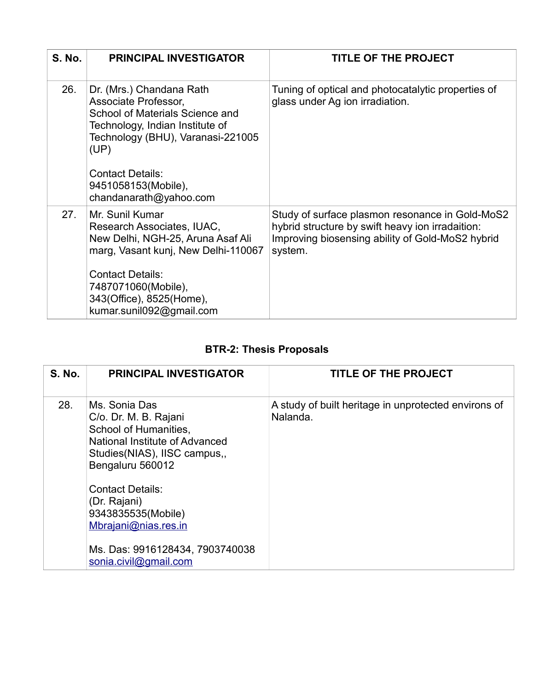| <b>S. No.</b> | <b>PRINCIPAL INVESTIGATOR</b>                                                                                                                                                                                                                                 | <b>TITLE OF THE PROJECT</b>                                                                                                                                        |
|---------------|---------------------------------------------------------------------------------------------------------------------------------------------------------------------------------------------------------------------------------------------------------------|--------------------------------------------------------------------------------------------------------------------------------------------------------------------|
| 26.           | Dr. (Mrs.) Chandana Rath<br>Associate Professor,<br>School of Materials Science and<br>Technology, Indian Institute of<br>Technology (BHU), Varanasi-221005<br>(UP)<br><b>Contact Details:</b><br>9451058153(Mobile),                                         | Tuning of optical and photocatalytic properties of<br>glass under Ag ion irradiation.                                                                              |
| 27.           | chandanarath@yahoo.com<br>Mr. Sunil Kumar<br>Research Associates, IUAC,<br>New Delhi, NGH-25, Aruna Asaf Ali<br>marg, Vasant kunj, New Delhi-110067<br><b>Contact Details:</b><br>7487071060(Mobile),<br>343(Office), 8525(Home),<br>kumar.sunil092@gmail.com | Study of surface plasmon resonance in Gold-MoS2<br>hybrid structure by swift heavy ion irradaition:<br>Improving biosensing ability of Gold-MoS2 hybrid<br>system. |

## **BTR-2: Thesis Proposals**

| <b>S. No.</b> | <b>PRINCIPAL INVESTIGATOR</b>                                                                                                                                                                                                                                                     | <b>TITLE OF THE PROJECT</b>                                      |
|---------------|-----------------------------------------------------------------------------------------------------------------------------------------------------------------------------------------------------------------------------------------------------------------------------------|------------------------------------------------------------------|
| 28.           | Ms. Sonia Das<br>C/o. Dr. M. B. Rajani<br>School of Humanities,<br>National Institute of Advanced<br>Studies (NIAS), IISC campus,<br>Bengaluru 560012<br><b>Contact Details:</b><br>(Dr. Rajani)<br>9343835535(Mobile)<br>Mbrajani@nias.res.in<br>Ms. Das: 9916128434, 7903740038 | A study of built heritage in unprotected environs of<br>Nalanda. |
|               | sonia.civil@gmail.com                                                                                                                                                                                                                                                             |                                                                  |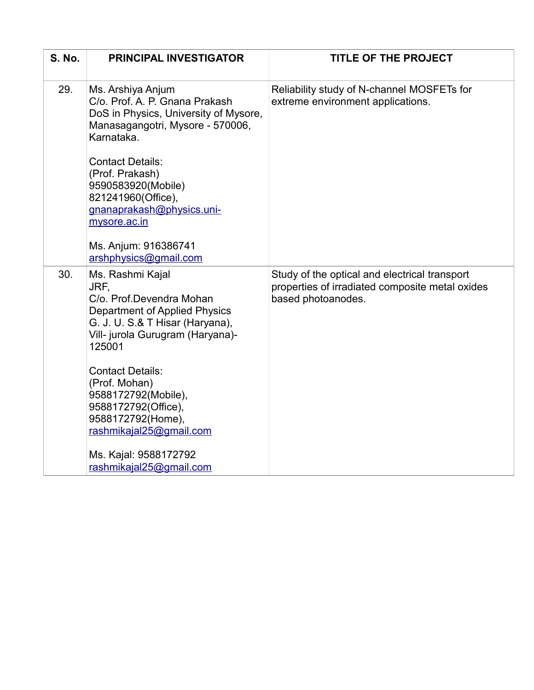| <b>S. No.</b> | <b>PRINCIPAL INVESTIGATOR</b>                                                                                                                                                                                                                                                                                                                                               | TITLE OF THE PROJECT                                                                                                   |
|---------------|-----------------------------------------------------------------------------------------------------------------------------------------------------------------------------------------------------------------------------------------------------------------------------------------------------------------------------------------------------------------------------|------------------------------------------------------------------------------------------------------------------------|
| 29.           | Ms. Arshiya Anjum<br>C/o. Prof. A. P. Gnana Prakash<br>DoS in Physics, University of Mysore,<br>Manasagangotri, Mysore - 570006,<br>Karnataka.<br><b>Contact Details:</b><br>(Prof. Prakash)<br>9590583920(Mobile)<br>821241960(Office),<br>gnanaprakash@physics.uni-<br>mysore.ac.in<br>Ms. Anjum: 916386741<br>arshphysics@gmail.com                                      | Reliability study of N-channel MOSFETs for<br>extreme environment applications.                                        |
| 30.           | Ms. Rashmi Kajal<br>JRF,<br>C/o. Prof.Devendra Mohan<br><b>Department of Applied Physics</b><br>G. J. U. S.& T Hisar (Haryana),<br>Vill- jurola Gurugram (Haryana)-<br>125001<br><b>Contact Details:</b><br>(Prof. Mohan)<br>9588172792(Mobile),<br>9588172792(Office),<br>9588172792(Home),<br>rashmikajal25@gmail.com<br>Ms. Kajal: 9588172792<br>rashmikajal25@gmail.com | Study of the optical and electrical transport<br>properties of irradiated composite metal oxides<br>based photoanodes. |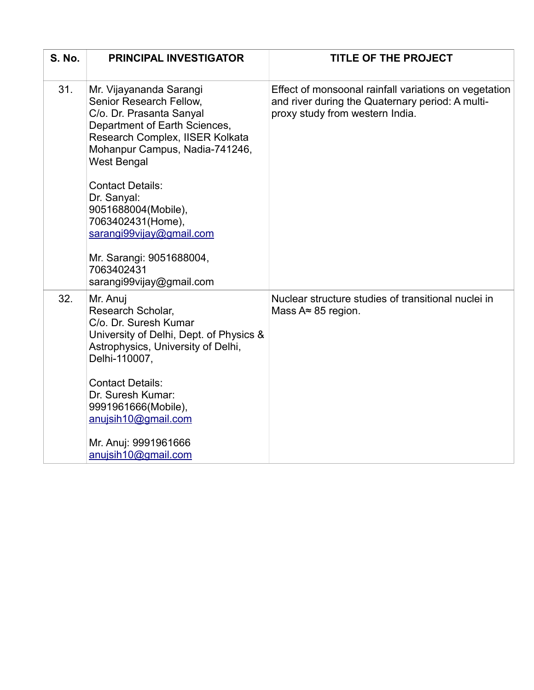| <b>S. No.</b> | <b>PRINCIPAL INVESTIGATOR</b>                                                                                                                                                                                                                                                                                                                                          | <b>TITLE OF THE PROJECT</b>                                                                                                                  |
|---------------|------------------------------------------------------------------------------------------------------------------------------------------------------------------------------------------------------------------------------------------------------------------------------------------------------------------------------------------------------------------------|----------------------------------------------------------------------------------------------------------------------------------------------|
| 31.           | Mr. Vijayananda Sarangi<br>Senior Research Fellow,<br>C/o. Dr. Prasanta Sanyal<br>Department of Earth Sciences,<br>Research Complex, IISER Kolkata<br>Mohanpur Campus, Nadia-741246,<br><b>West Bengal</b><br><b>Contact Details:</b><br>Dr. Sanyal:<br>9051688004(Mobile),<br>7063402431(Home),<br>sarangi99vijay@gmail.com<br>Mr. Sarangi: 9051688004,<br>7063402431 | Effect of monsoonal rainfall variations on vegetation<br>and river during the Quaternary period: A multi-<br>proxy study from western India. |
| 32.           | sarangi99vijay@gmail.com<br>Mr. Anuj<br>Research Scholar,<br>C/o. Dr. Suresh Kumar<br>University of Delhi, Dept. of Physics &<br>Astrophysics, University of Delhi,<br>Delhi-110007,<br><b>Contact Details:</b><br>Dr. Suresh Kumar:<br>9991961666(Mobile),<br>anujsih10@gmail.com<br>Mr. Anuj: 9991961666<br>anujsih10@gmail.com                                      | Nuclear structure studies of transitional nuclei in<br>Mass $A \approx 85$ region.                                                           |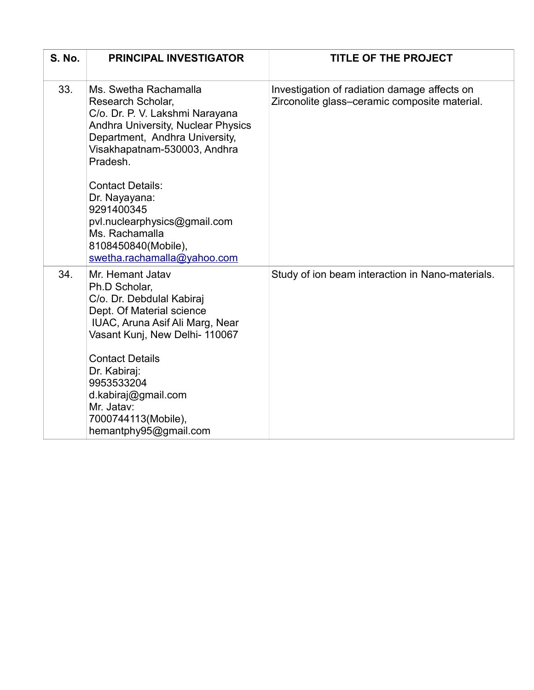| <b>S. No.</b> | <b>PRINCIPAL INVESTIGATOR</b>                                                                                                                                                                                                                                                                                                                                              | <b>TITLE OF THE PROJECT</b>                                                                   |
|---------------|----------------------------------------------------------------------------------------------------------------------------------------------------------------------------------------------------------------------------------------------------------------------------------------------------------------------------------------------------------------------------|-----------------------------------------------------------------------------------------------|
| 33.           | Ms. Swetha Rachamalla<br>Research Scholar,<br>C/o. Dr. P. V. Lakshmi Narayana<br><b>Andhra University, Nuclear Physics</b><br>Department, Andhra University,<br>Visakhapatnam-530003, Andhra<br>Pradesh.<br><b>Contact Details:</b><br>Dr. Nayayana:<br>9291400345<br>pvl.nuclearphysics@gmail.com<br>Ms. Rachamalla<br>8108450840(Mobile),<br>swetha.rachamalla@yahoo.com | Investigation of radiation damage affects on<br>Zirconolite glass-ceramic composite material. |
| 34.           | Mr. Hemant Jatav<br>Ph.D Scholar,<br>C/o. Dr. Debdulal Kabiraj<br>Dept. Of Material science<br>IUAC, Aruna Asif Ali Marg, Near<br>Vasant Kunj, New Delhi- 110067<br><b>Contact Details</b><br>Dr. Kabiraj:<br>9953533204<br>d.kabiraj@gmail.com<br>Mr. Jatav:<br>7000744113(Mobile),<br>hemantphy95@gmail.com                                                              | Study of ion beam interaction in Nano-materials.                                              |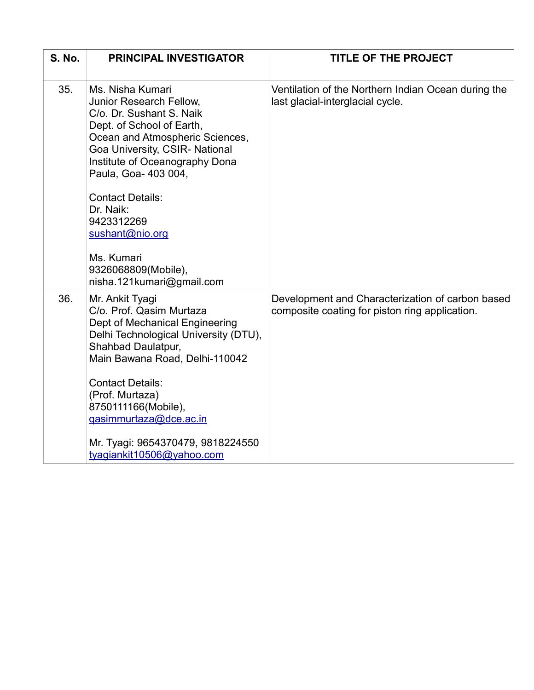| <b>S. No.</b> | <b>PRINCIPAL INVESTIGATOR</b>                                                                                                                                                                                                                                                                                                                                                  | <b>TITLE OF THE PROJECT</b>                                                                        |
|---------------|--------------------------------------------------------------------------------------------------------------------------------------------------------------------------------------------------------------------------------------------------------------------------------------------------------------------------------------------------------------------------------|----------------------------------------------------------------------------------------------------|
| 35.           | Ms. Nisha Kumari<br>Junior Research Fellow,<br>C/o. Dr. Sushant S. Naik<br>Dept. of School of Earth,<br>Ocean and Atmospheric Sciences,<br>Goa University, CSIR- National<br>Institute of Oceanography Dona<br>Paula, Goa- 403 004,<br><b>Contact Details:</b><br>Dr. Naik:<br>9423312269<br>sushant@nio.org<br>Ms. Kumari<br>9326068809(Mobile),<br>nisha.121kumari@gmail.com | Ventilation of the Northern Indian Ocean during the<br>last glacial-interglacial cycle.            |
| 36.           | Mr. Ankit Tyagi<br>C/o. Prof. Qasim Murtaza<br>Dept of Mechanical Engineering<br>Delhi Technological University (DTU),<br>Shahbad Daulatpur,<br>Main Bawana Road, Delhi-110042<br><b>Contact Details:</b><br>(Prof. Murtaza)<br>8750111166(Mobile),<br>gasimmurtaza@dce.ac.in<br>Mr. Tyagi: 9654370479, 9818224550<br>tyagiankit10506@yahoo.com                                | Development and Characterization of carbon based<br>composite coating for piston ring application. |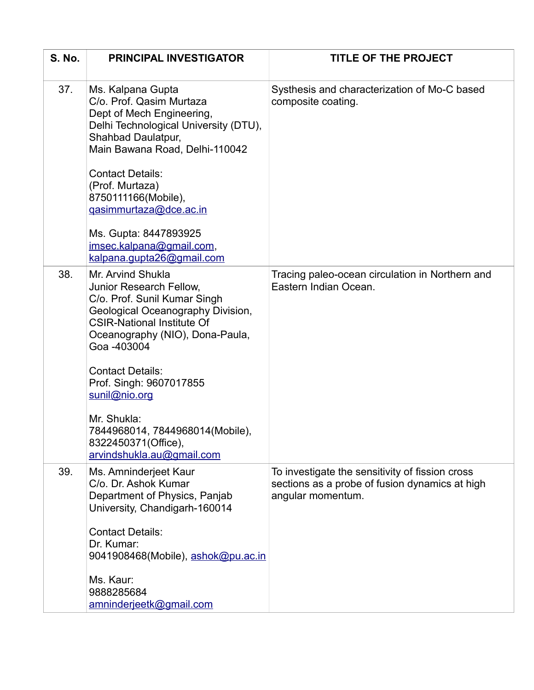| <b>S. No.</b> | <b>PRINCIPAL INVESTIGATOR</b>                                                                                                                                                                            | <b>TITLE OF THE PROJECT</b>                                                                                            |
|---------------|----------------------------------------------------------------------------------------------------------------------------------------------------------------------------------------------------------|------------------------------------------------------------------------------------------------------------------------|
| 37.           | Ms. Kalpana Gupta<br>C/o. Prof. Qasim Murtaza<br>Dept of Mech Engineering,<br>Delhi Technological University (DTU),<br>Shahbad Daulatpur,<br>Main Bawana Road, Delhi-110042                              | Systhesis and characterization of Mo-C based<br>composite coating.                                                     |
|               | <b>Contact Details:</b><br>(Prof. Murtaza)<br>8750111166(Mobile),<br>gasimmurtaza@dce.ac.in                                                                                                              |                                                                                                                        |
|               | Ms. Gupta: 8447893925<br>imsec.kalpana@gmail.com,<br>kalpana.gupta26@gmail.com                                                                                                                           |                                                                                                                        |
| 38.           | Mr. Arvind Shukla<br>Junior Research Fellow,<br>C/o. Prof. Sunil Kumar Singh<br>Geological Oceanography Division,<br><b>CSIR-National Institute Of</b><br>Oceanography (NIO), Dona-Paula,<br>Goa -403004 | Tracing paleo-ocean circulation in Northern and<br>Eastern Indian Ocean.                                               |
|               | <b>Contact Details:</b><br>Prof. Singh: 9607017855<br>sunil@nio.org                                                                                                                                      |                                                                                                                        |
|               | Mr. Shukla:<br>7844968014, 7844968014(Mobile),<br>8322450371(Office),<br>arvindshukla.au@gmail.com                                                                                                       |                                                                                                                        |
| 39.           | Ms. Amninderjeet Kaur<br>C/o. Dr. Ashok Kumar<br>Department of Physics, Panjab<br>University, Chandigarh-160014                                                                                          | To investigate the sensitivity of fission cross<br>sections as a probe of fusion dynamics at high<br>angular momentum. |
|               | <b>Contact Details:</b><br>Dr. Kumar:<br>9041908468(Mobile), ashok@pu.ac.in                                                                                                                              |                                                                                                                        |
|               | Ms. Kaur:<br>9888285684<br>amninderjeetk@gmail.com                                                                                                                                                       |                                                                                                                        |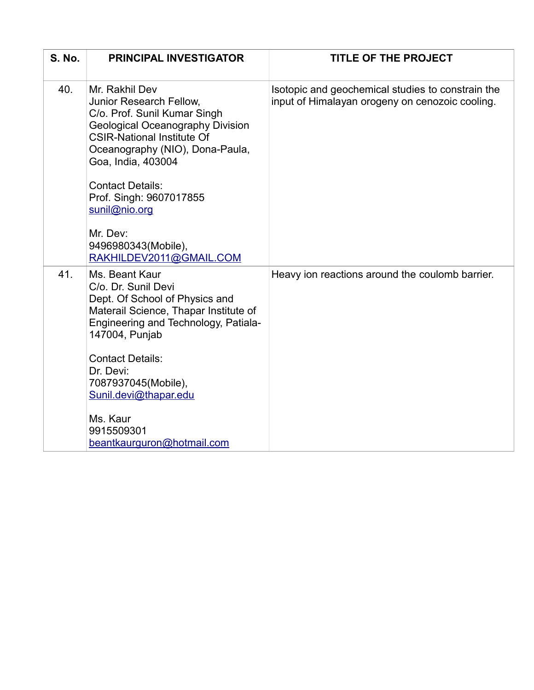| <b>S. No.</b> | <b>PRINCIPAL INVESTIGATOR</b>                                                                                                                                                                                                                                                                                                                         | <b>TITLE OF THE PROJECT</b>                                                                          |
|---------------|-------------------------------------------------------------------------------------------------------------------------------------------------------------------------------------------------------------------------------------------------------------------------------------------------------------------------------------------------------|------------------------------------------------------------------------------------------------------|
| 40.           | Mr. Rakhil Dev<br>Junior Research Fellow,<br>C/o. Prof. Sunil Kumar Singh<br><b>Geological Oceanography Division</b><br><b>CSIR-National Institute Of</b><br>Oceanography (NIO), Dona-Paula,<br>Goa, India, 403004<br><b>Contact Details:</b><br>Prof. Singh: 9607017855<br>sunil@nio.org<br>Mr. Dev:<br>9496980343(Mobile),                          | Isotopic and geochemical studies to constrain the<br>input of Himalayan orogeny on cenozoic cooling. |
| 41.           | RAKHILDEV2011@GMAIL.COM<br>Ms. Beant Kaur<br>C/o. Dr. Sunil Devi<br>Dept. Of School of Physics and<br>Materail Science, Thapar Institute of<br>Engineering and Technology, Patiala-<br>147004, Punjab<br><b>Contact Details:</b><br>Dr. Devi:<br>7087937045(Mobile),<br>Sunil.devi@thapar.edu<br>Ms. Kaur<br>9915509301<br>beantkaurguron@hotmail.com | Heavy ion reactions around the coulomb barrier.                                                      |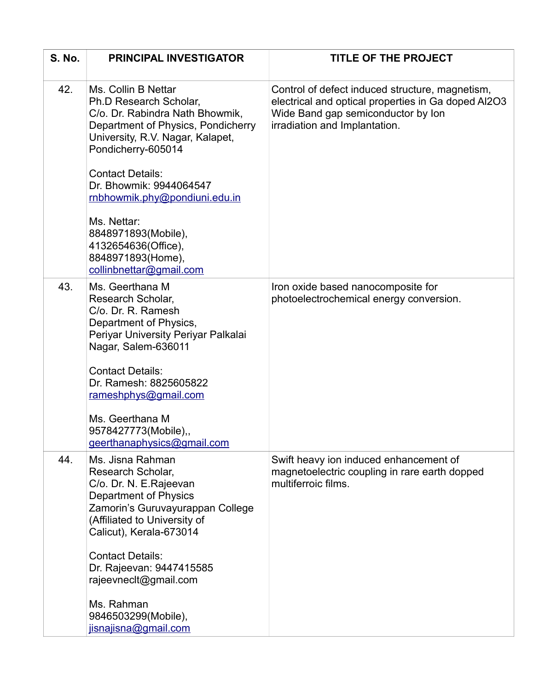| <b>S. No.</b> | <b>PRINCIPAL INVESTIGATOR</b>                                                                                                                                                           | <b>TITLE OF THE PROJECT</b>                                                                                                                                                   |
|---------------|-----------------------------------------------------------------------------------------------------------------------------------------------------------------------------------------|-------------------------------------------------------------------------------------------------------------------------------------------------------------------------------|
| 42.           | Ms. Collin B Nettar<br>Ph.D Research Scholar,<br>C/o. Dr. Rabindra Nath Bhowmik,<br>Department of Physics, Pondicherry<br>University, R.V. Nagar, Kalapet,<br>Pondicherry-605014        | Control of defect induced structure, magnetism,<br>electrical and optical properties in Ga doped AI2O3<br>Wide Band gap semiconductor by Ion<br>irradiation and Implantation. |
|               | <b>Contact Details:</b><br>Dr. Bhowmik: 9944064547<br>rnbhowmik.phy@pondiuni.edu.in                                                                                                     |                                                                                                                                                                               |
|               | Ms. Nettar:<br>8848971893(Mobile),<br>4132654636(Office),<br>8848971893(Home),<br>collinbnettar@gmail.com                                                                               |                                                                                                                                                                               |
| 43.           | Ms. Geerthana M<br>Research Scholar,<br>C/o. Dr. R. Ramesh<br>Department of Physics,<br>Periyar University Periyar Palkalai<br>Nagar, Salem-636011                                      | Iron oxide based nanocomposite for<br>photoelectrochemical energy conversion.                                                                                                 |
|               | <b>Contact Details:</b><br>Dr. Ramesh: 8825605822<br>rameshphys@gmail.com                                                                                                               |                                                                                                                                                                               |
|               | Ms. Geerthana M<br>9578427773(Mobile),,<br>geerthanaphysics@gmail.com                                                                                                                   |                                                                                                                                                                               |
| 44.           | Ms. Jisna Rahman<br>Research Scholar,<br>C/o. Dr. N. E.Rajeevan<br>Department of Physics<br>Zamorin's Guruvayurappan College<br>(Affiliated to University of<br>Calicut), Kerala-673014 | Swift heavy ion induced enhancement of<br>magnetoelectric coupling in rare earth dopped<br>multiferroic films.                                                                |
|               | <b>Contact Details:</b><br>Dr. Rajeevan: 9447415585<br>rajeevnecit@gmail.com                                                                                                            |                                                                                                                                                                               |
|               | Ms. Rahman<br>9846503299(Mobile),<br>jisnajisna@gmail.com                                                                                                                               |                                                                                                                                                                               |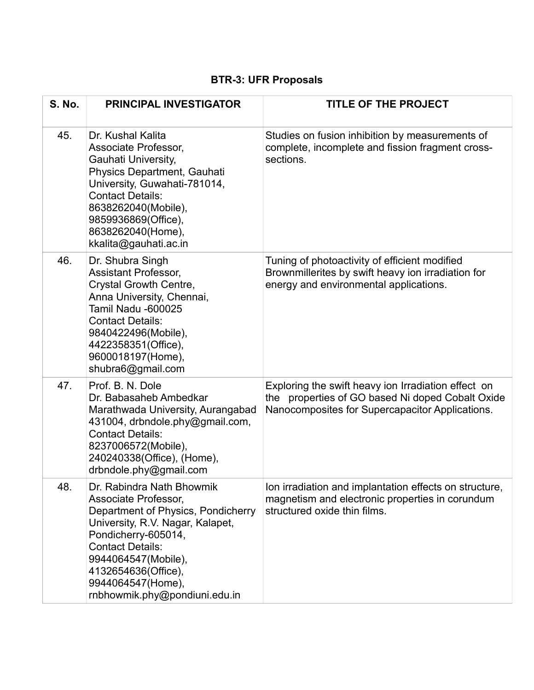# **BTR-3: UFR Proposals**

| <b>S. No.</b> | <b>PRINCIPAL INVESTIGATOR</b>                                                                                                                                                                                                                                                     | <b>TITLE OF THE PROJECT</b>                                                                                                                                |
|---------------|-----------------------------------------------------------------------------------------------------------------------------------------------------------------------------------------------------------------------------------------------------------------------------------|------------------------------------------------------------------------------------------------------------------------------------------------------------|
| 45.           | Dr. Kushal Kalita<br>Associate Professor,<br>Gauhati University,<br>Physics Department, Gauhati<br>University, Guwahati-781014,<br><b>Contact Details:</b><br>8638262040(Mobile),<br>9859936869(Office),<br>8638262040(Home),<br>kkalita@gauhati.ac.in                            | Studies on fusion inhibition by measurements of<br>complete, incomplete and fission fragment cross-<br>sections.                                           |
| 46.           | Dr. Shubra Singh<br><b>Assistant Professor,</b><br>Crystal Growth Centre,<br>Anna University, Chennai,<br><b>Tamil Nadu -600025</b><br><b>Contact Details:</b><br>9840422496(Mobile),<br>4422358351(Office),<br>9600018197(Home),<br>shubra6@gmail.com                            | Tuning of photoactivity of efficient modified<br>Brownmillerites by swift heavy ion irradiation for<br>energy and environmental applications.              |
| 47.           | Prof. B. N. Dole<br>Dr. Babasaheb Ambedkar<br>Marathwada University, Aurangabad<br>431004, drbndole.phy@gmail.com,<br><b>Contact Details:</b><br>8237006572(Mobile),<br>240240338(Office), (Home),<br>drbndole.phy@gmail.com                                                      | Exploring the swift heavy ion Irradiation effect on<br>the properties of GO based Ni doped Cobalt Oxide<br>Nanocomposites for Supercapacitor Applications. |
| 48.           | Dr. Rabindra Nath Bhowmik<br>Associate Professor,<br>Department of Physics, Pondicherry<br>University, R.V. Nagar, Kalapet,<br>Pondicherry-605014,<br><b>Contact Details:</b><br>9944064547(Mobile),<br>4132654636(Office),<br>9944064547(Home),<br>rnbhowmik.phy@pondiuni.edu.in | Ion irradiation and implantation effects on structure,<br>magnetism and electronic properties in corundum<br>structured oxide thin films.                  |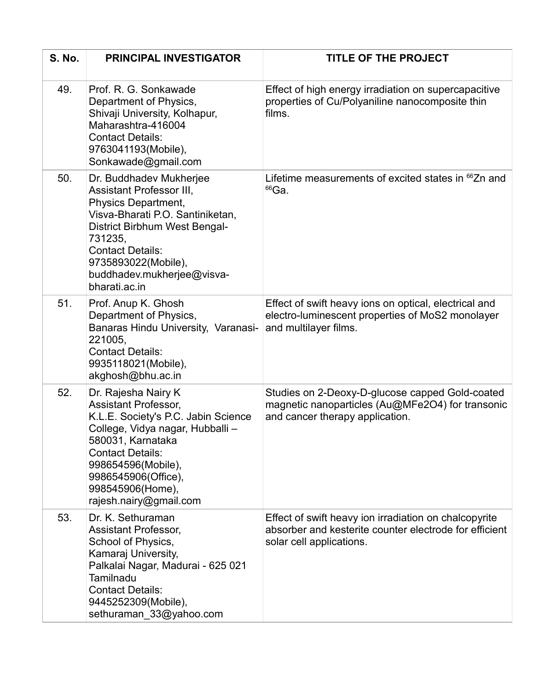| <b>S. No.</b> | <b>PRINCIPAL INVESTIGATOR</b>                                                                                                                                                                                                                                            | <b>TITLE OF THE PROJECT</b>                                                                                                                 |
|---------------|--------------------------------------------------------------------------------------------------------------------------------------------------------------------------------------------------------------------------------------------------------------------------|---------------------------------------------------------------------------------------------------------------------------------------------|
| 49.           | Prof. R. G. Sonkawade<br>Department of Physics,<br>Shivaji University, Kolhapur,<br>Maharashtra-416004<br><b>Contact Details:</b><br>9763041193(Mobile),<br>Sonkawade@gmail.com                                                                                          | Effect of high energy irradiation on supercapacitive<br>properties of Cu/Polyaniline nanocomposite thin<br>films.                           |
| 50.           | Dr. Buddhadev Mukherjee<br><b>Assistant Professor III,</b><br>Physics Department,<br>Visva-Bharati P.O. Santiniketan,<br>District Birbhum West Bengal-<br>731235,<br><b>Contact Details:</b><br>9735893022(Mobile),<br>buddhadev.mukherjee@visva-<br>bharati.ac.in       | Lifetime measurements of excited states in <sup>66</sup> Zn and<br>$66$ Ga.                                                                 |
| 51.           | Prof. Anup K. Ghosh<br>Department of Physics,<br>Banaras Hindu University, Varanasi-<br>221005,<br><b>Contact Details:</b><br>9935118021(Mobile),<br>akghosh@bhu.ac.in                                                                                                   | Effect of swift heavy ions on optical, electrical and<br>electro-luminescent properties of MoS2 monolayer<br>and multilayer films.          |
| 52.           | Dr. Rajesha Nairy K<br><b>Assistant Professor,</b><br>K.L.E. Society's P.C. Jabin Science<br>College, Vidya nagar, Hubballi -<br>580031, Karnataka<br><b>Contact Details:</b><br>998654596(Mobile),<br>9986545906(Office),<br>998545906(Home),<br>rajesh.nairy@gmail.com | Studies on 2-Deoxy-D-glucose capped Gold-coated<br>magnetic nanoparticles (Au@MFe2O4) for transonic<br>and cancer therapy application.      |
| 53.           | Dr. K. Sethuraman<br><b>Assistant Professor,</b><br>School of Physics,<br>Kamaraj University,<br>Palkalai Nagar, Madurai - 625 021<br>Tamilnadu<br><b>Contact Details:</b><br>9445252309(Mobile),<br>sethuraman 33@yahoo.com                                             | Effect of swift heavy ion irradiation on chalcopyrite<br>absorber and kesterite counter electrode for efficient<br>solar cell applications. |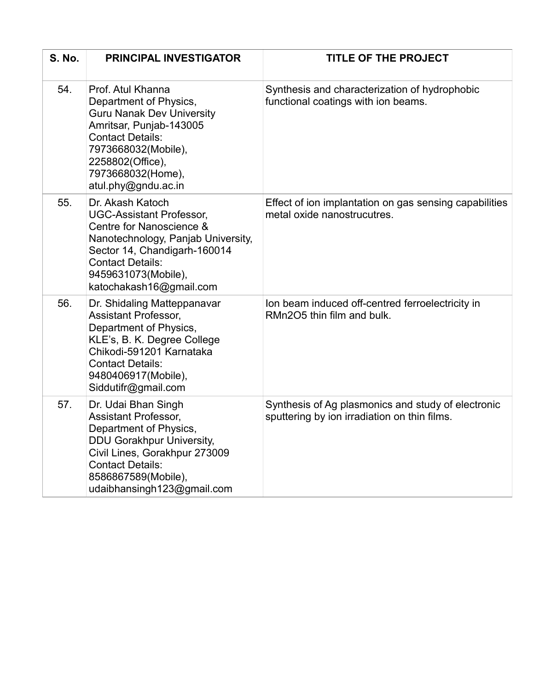| <b>S. No.</b> | <b>PRINCIPAL INVESTIGATOR</b>                                                                                                                                                                                                      | <b>TITLE OF THE PROJECT</b>                                                                        |
|---------------|------------------------------------------------------------------------------------------------------------------------------------------------------------------------------------------------------------------------------------|----------------------------------------------------------------------------------------------------|
| 54.           | Prof. Atul Khanna<br>Department of Physics,<br><b>Guru Nanak Dev University</b><br>Amritsar, Punjab-143005<br><b>Contact Details:</b><br>7973668032(Mobile),<br>2258802(Office),<br>7973668032(Home),<br>atul.phy@gndu.ac.in       | Synthesis and characterization of hydrophobic<br>functional coatings with ion beams.               |
| 55.           | Dr. Akash Katoch<br><b>UGC-Assistant Professor,</b><br>Centre for Nanoscience &<br>Nanotechnology, Panjab University,<br>Sector 14, Chandigarh-160014<br><b>Contact Details:</b><br>9459631073(Mobile),<br>katochakash16@gmail.com | Effect of ion implantation on gas sensing capabilities<br>metal oxide nanostrucutres.              |
| 56.           | Dr. Shidaling Matteppanavar<br><b>Assistant Professor,</b><br>Department of Physics,<br>KLE's, B. K. Degree College<br>Chikodi-591201 Karnataka<br><b>Contact Details:</b><br>9480406917(Mobile),<br>Siddutifr@gmail.com           | Ion beam induced off-centred ferroelectricity in<br>RMn2O5 thin film and bulk.                     |
| 57.           | Dr. Udai Bhan Singh<br><b>Assistant Professor,</b><br>Department of Physics,<br><b>DDU Gorakhpur University,</b><br>Civil Lines, Gorakhpur 273009<br><b>Contact Details:</b><br>8586867589(Mobile),<br>udaibhansingh123@gmail.com  | Synthesis of Ag plasmonics and study of electronic<br>sputtering by ion irradiation on thin films. |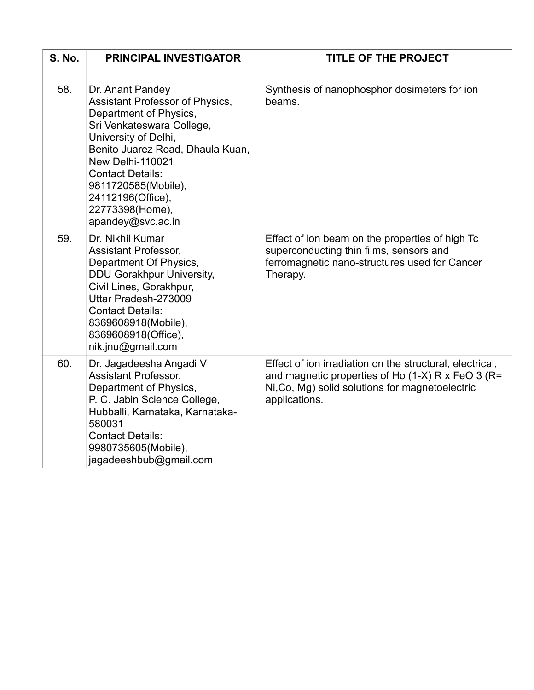| <b>S. No.</b> | <b>PRINCIPAL INVESTIGATOR</b>                                                                                                                                                                                                                                                                                    | <b>TITLE OF THE PROJECT</b>                                                                                                                                                       |
|---------------|------------------------------------------------------------------------------------------------------------------------------------------------------------------------------------------------------------------------------------------------------------------------------------------------------------------|-----------------------------------------------------------------------------------------------------------------------------------------------------------------------------------|
| 58.           | Dr. Anant Pandey<br><b>Assistant Professor of Physics,</b><br>Department of Physics,<br>Sri Venkateswara College,<br>University of Delhi,<br>Benito Juarez Road, Dhaula Kuan,<br>New Delhi-110021<br><b>Contact Details:</b><br>9811720585(Mobile),<br>24112196(Office),<br>22773398(Home),<br>apandey@svc.ac.in | Synthesis of nanophosphor dosimeters for ion<br>beams.                                                                                                                            |
| 59.           | Dr. Nikhil Kumar<br><b>Assistant Professor,</b><br>Department Of Physics,<br><b>DDU Gorakhpur University,</b><br>Civil Lines, Gorakhpur,<br>Uttar Pradesh-273009<br><b>Contact Details:</b><br>8369608918(Mobile),<br>8369608918(Office),<br>nik.jnu@gmail.com                                                   | Effect of ion beam on the properties of high Tc<br>superconducting thin films, sensors and<br>ferromagnetic nano-structures used for Cancer<br>Therapy.                           |
| 60.           | Dr. Jagadeesha Angadi V<br><b>Assistant Professor,</b><br>Department of Physics,<br>P. C. Jabin Science College,<br>Hubballi, Karnataka, Karnataka-<br>580031<br><b>Contact Details:</b><br>9980735605(Mobile),<br>jagadeeshbub@gmail.com                                                                        | Effect of ion irradiation on the structural, electrical,<br>and magnetic properties of Ho (1-X) R x FeO 3 (R=<br>Ni, Co, Mg) solid solutions for magnetoelectric<br>applications. |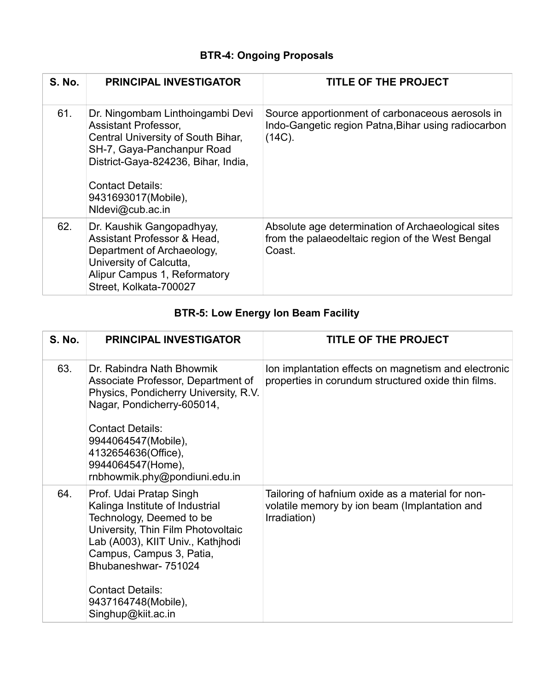## **BTR-4: Ongoing Proposals**

| <b>S. No.</b> | <b>PRINCIPAL INVESTIGATOR</b>                                                                                                                                                                                                             | <b>TITLE OF THE PROJECT</b>                                                                                          |
|---------------|-------------------------------------------------------------------------------------------------------------------------------------------------------------------------------------------------------------------------------------------|----------------------------------------------------------------------------------------------------------------------|
| 61.           | Dr. Ningombam Linthoingambi Devi<br><b>Assistant Professor,</b><br>Central University of South Bihar,<br>SH-7, Gaya-Panchanpur Road<br>District-Gaya-824236, Bihar, India,<br>Contact Details:<br>9431693017(Mobile),<br>NIdevi@cub.ac.in | Source apportionment of carbonaceous aerosols in<br>Indo-Gangetic region Patna, Bihar using radiocarbon<br>$(14C)$ . |
| 62.           | Dr. Kaushik Gangopadhyay,<br>Assistant Professor & Head,<br>Department of Archaeology,<br>University of Calcutta,<br>Alipur Campus 1, Reformatory<br>Street, Kolkata-700027                                                               | Absolute age determination of Archaeological sites<br>from the palaeodeltaic region of the West Bengal<br>Coast.     |

# **BTR-5: Low Energy Ion Beam Facility**

| <b>S. No.</b> | <b>PRINCIPAL INVESTIGATOR</b>                                                                                                                                                                                                                                                                 | <b>TITLE OF THE PROJECT</b>                                                                                        |
|---------------|-----------------------------------------------------------------------------------------------------------------------------------------------------------------------------------------------------------------------------------------------------------------------------------------------|--------------------------------------------------------------------------------------------------------------------|
| 63.           | Dr. Rabindra Nath Bhowmik<br>Associate Professor, Department of<br>Physics, Pondicherry University, R.V.<br>Nagar, Pondicherry-605014,                                                                                                                                                        | Ion implantation effects on magnetism and electronic<br>properties in corundum structured oxide thin films.        |
|               | <b>Contact Details:</b><br>9944064547(Mobile),<br>4132654636(Office),<br>9944064547(Home),<br>rnbhowmik.phy@pondiuni.edu.in                                                                                                                                                                   |                                                                                                                    |
| 64.           | Prof. Udai Pratap Singh<br>Kalinga Institute of Industrial<br>Technology, Deemed to be<br>University, Thin Film Photovoltaic<br>Lab (A003), KIIT Univ., Kathihodi<br>Campus, Campus 3, Patia,<br>Bhubaneshwar- 751024<br><b>Contact Details:</b><br>9437164748(Mobile),<br>Singhup@kiit.ac.in | Tailoring of hafnium oxide as a material for non-<br>volatile memory by ion beam (Implantation and<br>Irradiation) |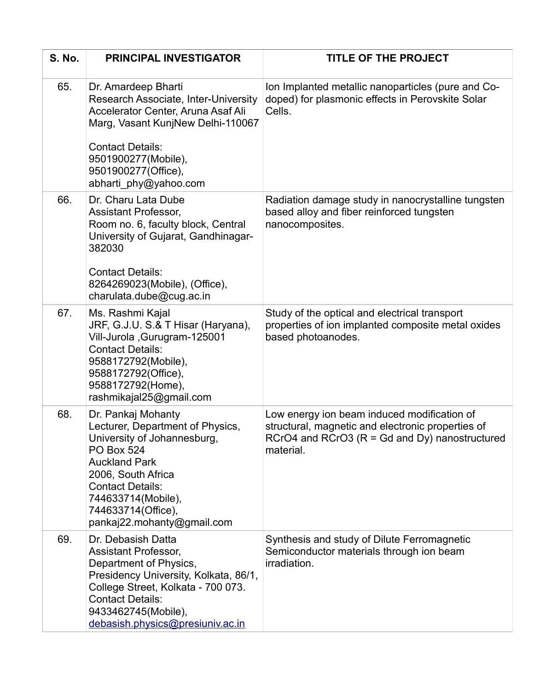| <b>S. No.</b> | <b>PRINCIPAL INVESTIGATOR</b>                                                                                                                                                                                                                                 | <b>TITLE OF THE PROJECT</b>                                                                                                                                        |
|---------------|---------------------------------------------------------------------------------------------------------------------------------------------------------------------------------------------------------------------------------------------------------------|--------------------------------------------------------------------------------------------------------------------------------------------------------------------|
| 65.           | Dr. Amardeep Bharti<br>Research Associate, Inter-University<br>Accelerator Center, Aruna Asaf Ali<br>Marg, Vasant KunjNew Delhi-110067<br><b>Contact Details:</b><br>9501900277(Mobile),<br>9501900277(Office),<br>abharti phy@yahoo.com                      | Ion Implanted metallic nanoparticles (pure and Co-<br>doped) for plasmonic effects in Perovskite Solar<br>Cells.                                                   |
| 66.           | Dr. Charu Lata Dube<br>Assistant Professor,<br>Room no. 6, faculty block, Central<br>University of Gujarat, Gandhinagar-<br>382030<br><b>Contact Details:</b><br>8264269023(Mobile), (Office),<br>charulata.dube@cug.ac.in                                    | Radiation damage study in nanocrystalline tungsten<br>based alloy and fiber reinforced tungsten<br>nanocomposites.                                                 |
| 67.           | Ms. Rashmi Kajal<br>JRF, G.J.U. S.& T Hisar (Haryana),<br>Vill-Jurola, Gurugram-125001<br><b>Contact Details:</b><br>9588172792(Mobile),<br>9588172792(Office),<br>9588172792(Home),<br>rashmikajal25@gmail.com                                               | Study of the optical and electrical transport<br>properties of ion implanted composite metal oxides<br>based photoanodes.                                          |
| 68.           | Dr. Pankaj Mohanty<br>Lecturer, Department of Physics,<br>University of Johannesburg,<br><b>PO Box 524</b><br><b>Auckland Park</b><br>2006, South Africa<br><b>Contact Details:</b><br>744633714(Mobile),<br>744633714(Office),<br>pankaj22.mohanty@gmail.com | Low energy ion beam induced modification of<br>structural, magnetic and electronic properties of<br>RCrO4 and RCrO3 ( $R = Gd$ and Dy) nanostructured<br>material. |
| 69.           | Dr. Debasish Datta<br><b>Assistant Professor,</b><br>Department of Physics,<br>Presidency University, Kolkata, 86/1,<br>College Street, Kolkata - 700 073.<br><b>Contact Details:</b><br>9433462745(Mobile),<br>debasish.physics@presiuniv.ac.in              | Synthesis and study of Dilute Ferromagnetic<br>Semiconductor materials through ion beam<br>irradiation.                                                            |